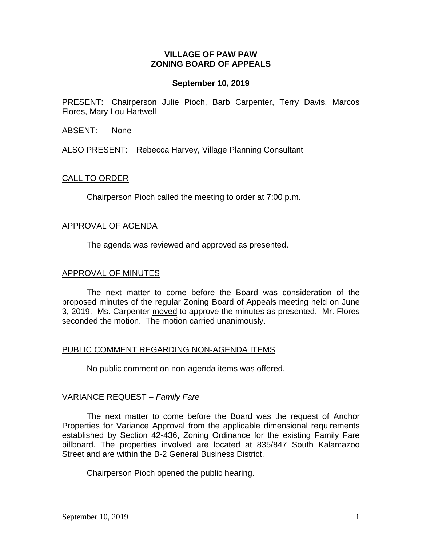## **VILLAGE OF PAW PAW ZONING BOARD OF APPEALS**

## **September 10, 2019**

PRESENT: Chairperson Julie Pioch, Barb Carpenter, Terry Davis, Marcos Flores, Mary Lou Hartwell

ABSENT: None

ALSO PRESENT: Rebecca Harvey, Village Planning Consultant

### CALL TO ORDER

Chairperson Pioch called the meeting to order at 7:00 p.m.

#### APPROVAL OF AGENDA

The agenda was reviewed and approved as presented.

### APPROVAL OF MINUTES

The next matter to come before the Board was consideration of the proposed minutes of the regular Zoning Board of Appeals meeting held on June 3, 2019. Ms. Carpenter moved to approve the minutes as presented. Mr. Flores seconded the motion. The motion carried unanimously.

# PUBLIC COMMENT REGARDING NON-AGENDA ITEMS

No public comment on non-agenda items was offered.

# VARIANCE REQUEST *– Family Fare*

The next matter to come before the Board was the request of Anchor Properties for Variance Approval from the applicable dimensional requirements established by Section 42-436, Zoning Ordinance for the existing Family Fare billboard. The properties involved are located at 835/847 South Kalamazoo Street and are within the B-2 General Business District.

Chairperson Pioch opened the public hearing.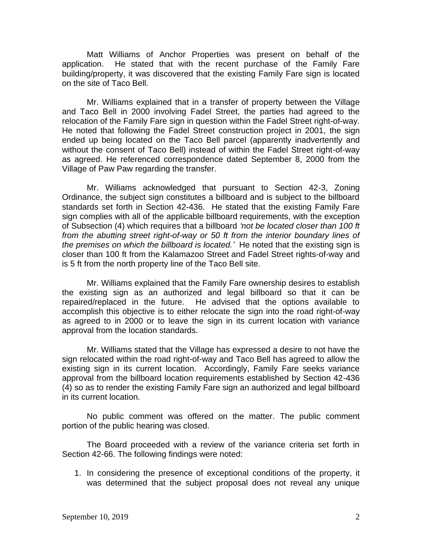Matt Williams of Anchor Properties was present on behalf of the application. He stated that with the recent purchase of the Family Fare building/property, it was discovered that the existing Family Fare sign is located on the site of Taco Bell.

Mr. Williams explained that in a transfer of property between the Village and Taco Bell in 2000 involving Fadel Street, the parties had agreed to the relocation of the Family Fare sign in question within the Fadel Street right-of-way. He noted that following the Fadel Street construction project in 2001, the sign ended up being located on the Taco Bell parcel (apparently inadvertently and without the consent of Taco Bell) instead of within the Fadel Street right-of-way as agreed. He referenced correspondence dated September 8, 2000 from the Village of Paw Paw regarding the transfer.

Mr. Williams acknowledged that pursuant to Section 42-3, Zoning Ordinance, the subject sign constitutes a billboard and is subject to the billboard standards set forth in Section 42-436. He stated that the existing Family Fare sign complies with all of the applicable billboard requirements, with the exception of Subsection (4) which requires that a billboard *'not be located closer than 100 ft from the abutting street right-of-way or 50 ft from the interior boundary lines of the premises on which the billboard is located.'* He noted that the existing sign is closer than 100 ft from the Kalamazoo Street and Fadel Street rights-of-way and is 5 ft from the north property line of the Taco Bell site.

Mr. Williams explained that the Family Fare ownership desires to establish the existing sign as an authorized and legal billboard so that it can be repaired/replaced in the future. He advised that the options available to accomplish this objective is to either relocate the sign into the road right-of-way as agreed to in 2000 or to leave the sign in its current location with variance approval from the location standards.

Mr. Williams stated that the Village has expressed a desire to not have the sign relocated within the road right-of-way and Taco Bell has agreed to allow the existing sign in its current location. Accordingly, Family Fare seeks variance approval from the billboard location requirements established by Section 42-436 (4) so as to render the existing Family Fare sign an authorized and legal billboard in its current location.

No public comment was offered on the matter. The public comment portion of the public hearing was closed.

The Board proceeded with a review of the variance criteria set forth in Section 42-66. The following findings were noted:

1. In considering the presence of exceptional conditions of the property, it was determined that the subject proposal does not reveal any unique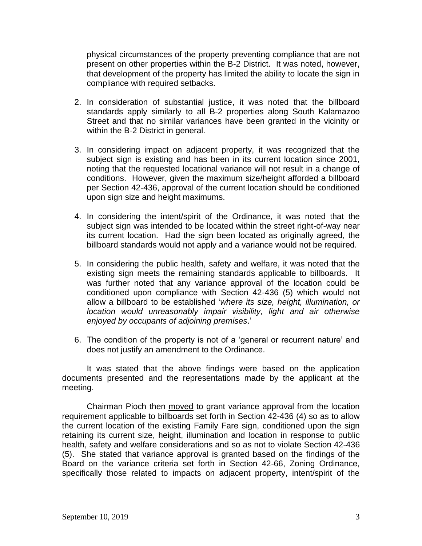physical circumstances of the property preventing compliance that are not present on other properties within the B-2 District. It was noted, however, that development of the property has limited the ability to locate the sign in compliance with required setbacks.

- 2. In consideration of substantial justice, it was noted that the billboard standards apply similarly to all B-2 properties along South Kalamazoo Street and that no similar variances have been granted in the vicinity or within the B-2 District in general.
- 3. In considering impact on adjacent property, it was recognized that the subject sign is existing and has been in its current location since 2001, noting that the requested locational variance will not result in a change of conditions. However, given the maximum size/height afforded a billboard per Section 42-436, approval of the current location should be conditioned upon sign size and height maximums.
- 4. In considering the intent/spirit of the Ordinance, it was noted that the subject sign was intended to be located within the street right-of-way near its current location. Had the sign been located as originally agreed, the billboard standards would not apply and a variance would not be required.
- 5. In considering the public health, safety and welfare, it was noted that the existing sign meets the remaining standards applicable to billboards. It was further noted that any variance approval of the location could be conditioned upon compliance with Section 42-436 (5) which would not allow a billboard to be established '*where its size, height, illumination, or location would unreasonably impair visibility, light and air otherwise enjoyed by occupants of adjoining premises*.'
- 6. The condition of the property is not of a 'general or recurrent nature' and does not justify an amendment to the Ordinance.

It was stated that the above findings were based on the application documents presented and the representations made by the applicant at the meeting.

Chairman Pioch then moved to grant variance approval from the location requirement applicable to billboards set forth in Section 42-436 (4) so as to allow the current location of the existing Family Fare sign, conditioned upon the sign retaining its current size, height, illumination and location in response to public health, safety and welfare considerations and so as not to violate Section 42-436 (5). She stated that variance approval is granted based on the findings of the Board on the variance criteria set forth in Section 42-66, Zoning Ordinance, specifically those related to impacts on adjacent property, intent/spirit of the